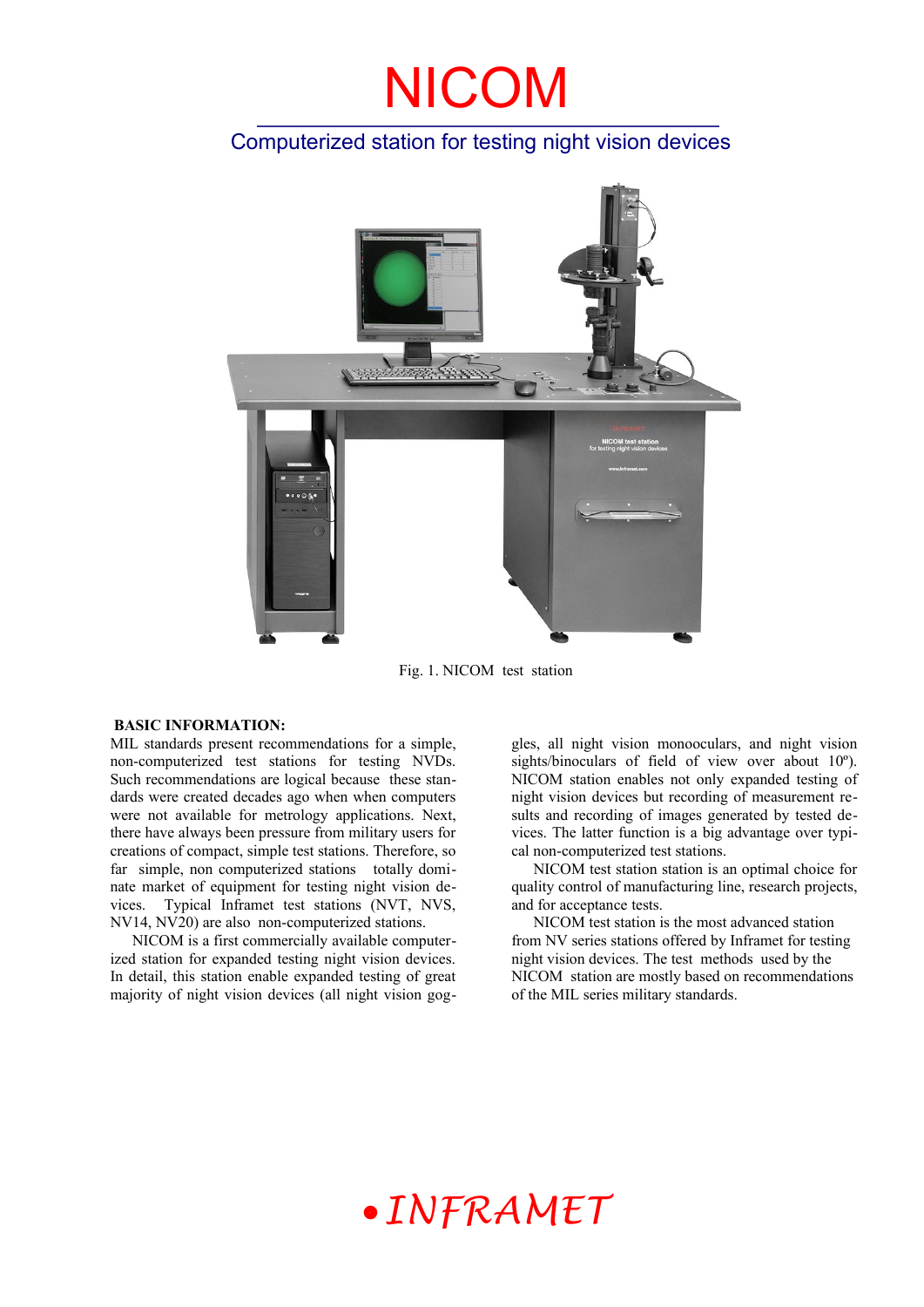### Computerized station for testing night vision devices



Fig. 1. NICOM test station

#### **BASIC INFORMATION:**

MIL standards present recommendations for a simple, non-computerized test stations for testing NVDs. Such recommendations are logical because these standards were created decades ago when when computers were not available for metrology applications. Next, there have always been pressure from military users for creations of compact, simple test stations. Therefore, so far simple, non computerized stations totally dominate market of equipment for testing night vision devices. Typical Inframet test stations (NVT, NVS, NV14, NV20) are also non-computerized stations.

NICOM is a first commercially available computerized station for expanded testing night vision devices. In detail, this station enable expanded testing of great majority of night vision devices (all night vision goggles, all night vision monooculars, and night vision sights/binoculars of field of view over about 10º). NICOM station enables not only expanded testing of night vision devices but recording of measurement results and recording of images generated by tested devices. The latter function is a big advantage over typical non-computerized test stations.

NICOM test station station is an optimal choice for quality control of manufacturing line, research projects, and for acceptance tests.

NICOM test station is the most advanced station from NV series stations offered by Inframet for testing night vision devices. The test methods used by the NICOM station are mostly based on recommendations of the MIL series military standards.

## *INFRAMET*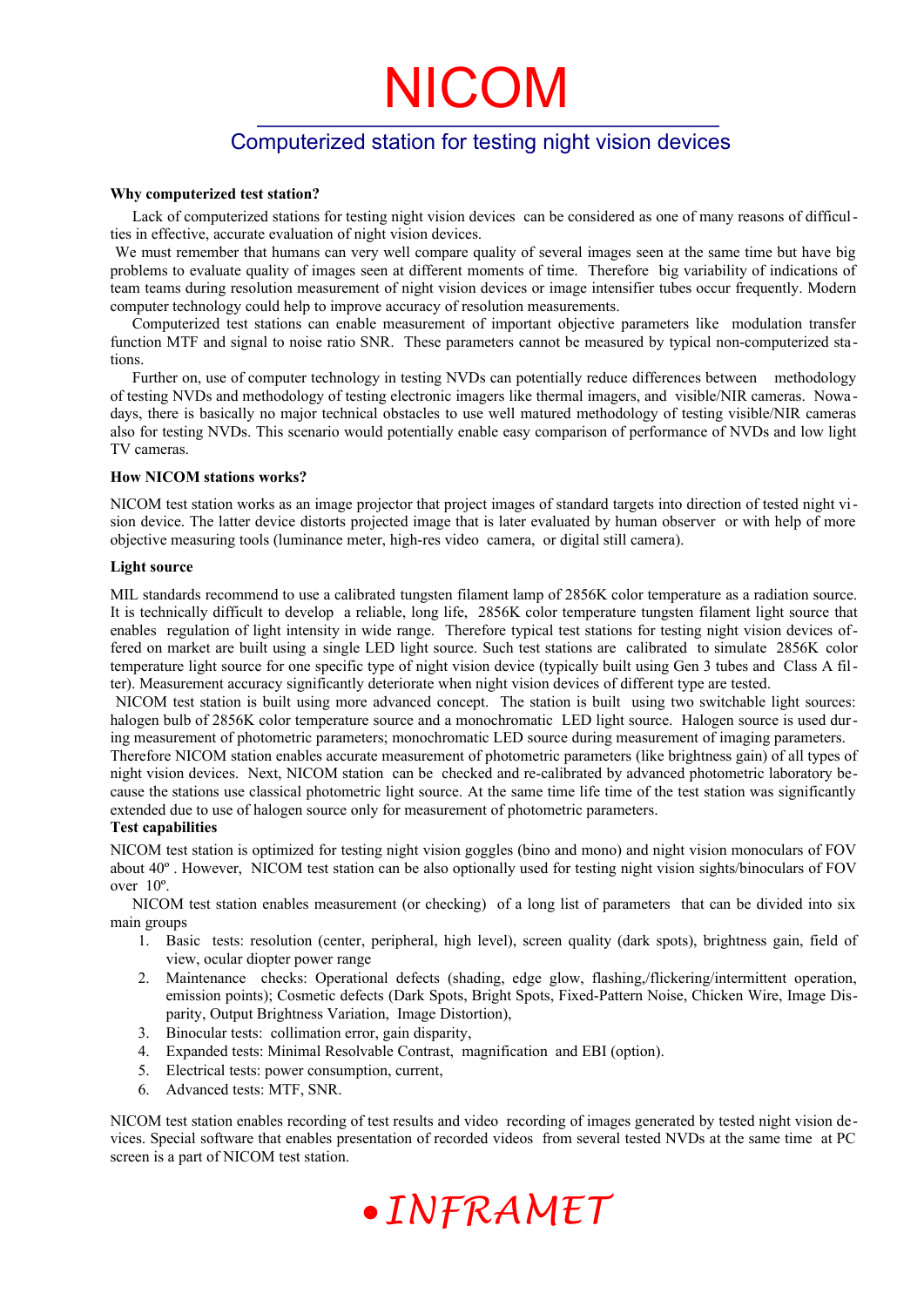### Computerized station for testing night vision devices

#### **Why computerized test station?**

Lack of computerized stations for testing night vision devices can be considered as one of many reasons of difficulties in effective, accurate evaluation of night vision devices.

We must remember that humans can very well compare quality of several images seen at the same time but have big problems to evaluate quality of images seen at different moments of time. Therefore big variability of indications of team teams during resolution measurement of night vision devices or image intensifier tubes occur frequently. Modern computer technology could help to improve accuracy of resolution measurements.

Computerized test stations can enable measurement of important objective parameters like modulation transfer function MTF and signal to noise ratio SNR. These parameters cannot be measured by typical non-computerized stations.

Further on, use of computer technology in testing NVDs can potentially reduce differences between methodology of testing NVDs and methodology of testing electronic imagers like thermal imagers, and visible/NIR cameras. Nowadays, there is basically no major technical obstacles to use well matured methodology of testing visible/NIR cameras also for testing NVDs. This scenario would potentially enable easy comparison of performance of NVDs and low light TV cameras.

#### **How NICOM stations works?**

NICOM test station works as an image projector that project images of standard targets into direction of tested night vision device. The latter device distorts projected image that is later evaluated by human observer or with help of more objective measuring tools (luminance meter, high-res video camera, or digital still camera).

#### **Light source**

MIL standards recommend to use a calibrated tungsten filament lamp of 2856K color temperature as a radiation source. It is technically difficult to develop a reliable, long life, 2856K color temperature tungsten filament light source that enables regulation of light intensity in wide range. Therefore typical test stations for testing night vision devices offered on market are built using a single LED light source. Such test stations are calibrated to simulate 2856K color temperature light source for one specific type of night vision device (typically built using Gen 3 tubes and Class A filter). Measurement accuracy significantly deteriorate when night vision devices of different type are tested.

NICOM test station is built using more advanced concept. The station is built using two switchable light sources: halogen bulb of 2856K color temperature source and a monochromatic LED light source. Halogen source is used during measurement of photometric parameters; monochromatic LED source during measurement of imaging parameters.

Therefore NICOM station enables accurate measurement of photometric parameters (like brightness gain) of all types of night vision devices. Next, NICOM station can be checked and re-calibrated by advanced photometric laboratory because the stations use classical photometric light source. At the same time life time of the test station was significantly extended due to use of halogen source only for measurement of photometric parameters.

#### **Test capabilities**

NICOM test station is optimized for testing night vision goggles (bino and mono) and night vision monoculars of FOV about 40º . However, NICOM test station can be also optionally used for testing night vision sights/binoculars of FOV over 10º.

NICOM test station enables measurement (or checking) of a long list of parameters that can be divided into six main groups

- 1. Basic tests: resolution (center, peripheral, high level), screen quality (dark spots), brightness gain, field of view, ocular diopter power range
- 2. Maintenance checks: Operational defects (shading, edge glow, flashing,/flickering/intermittent operation, emission points); Cosmetic defects (Dark Spots, Bright Spots, Fixed-Pattern Noise, Chicken Wire, Image Disparity, Output Brightness Variation, Image Distortion),
- 3. Binocular tests: collimation error, gain disparity,
- 4. Expanded tests: Minimal Resolvable Contrast, magnification and EBI (option).
- 5. Electrical tests: power consumption, current,
- 6. Advanced tests: MTF, SNR.

NICOM test station enables recording of test results and video recording of images generated by tested night vision devices. Special software that enables presentation of recorded videos from several tested NVDs at the same time at PC screen is a part of NICOM test station.

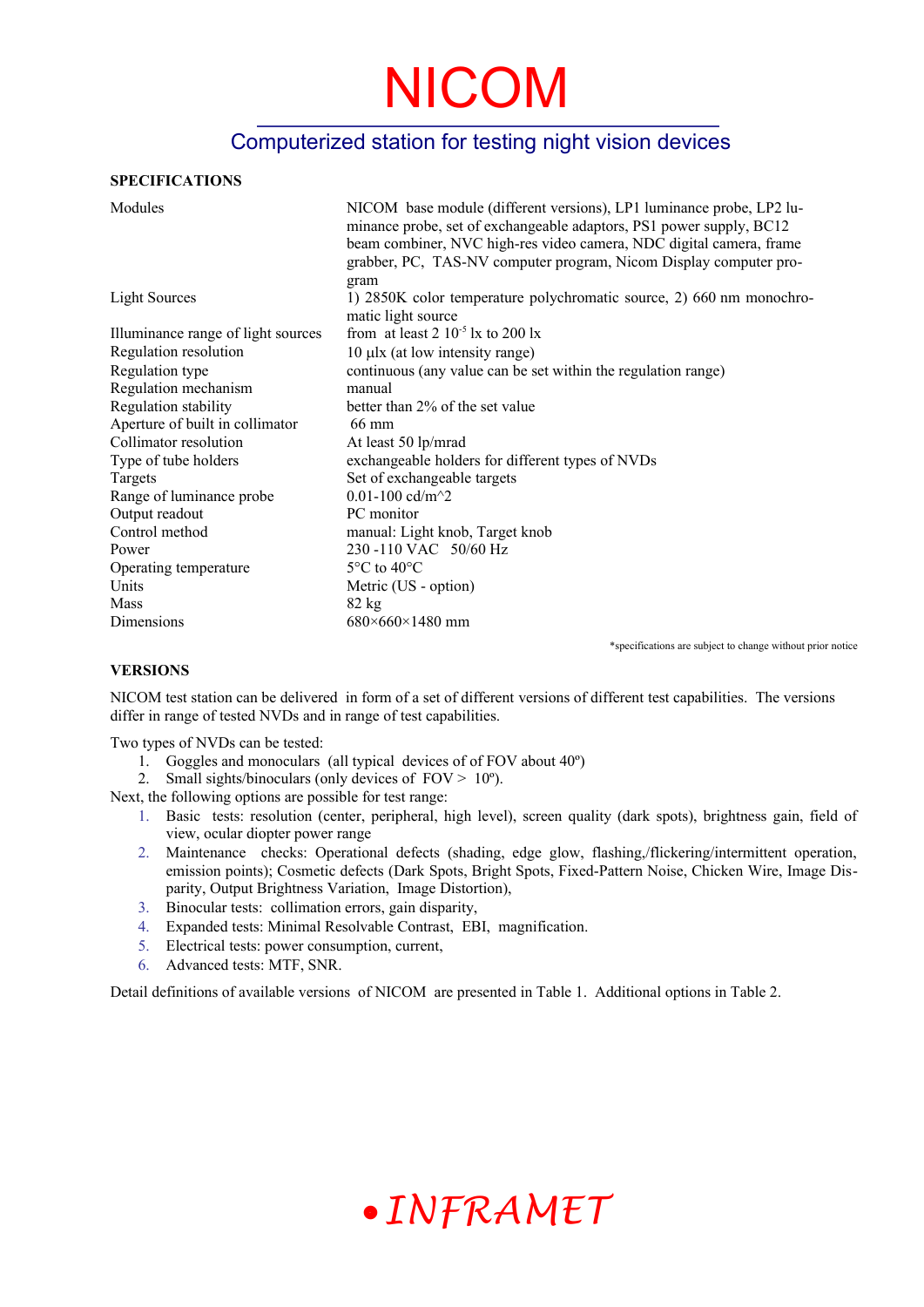### Computerized station for testing night vision devices

#### **SPECIFICATIONS**

| Modules                            | NICOM base module (different versions), LP1 luminance probe, LP2 lu-<br>minance probe, set of exchangeable adaptors, PS1 power supply, BC12<br>beam combiner, NVC high-res video camera, NDC digital camera, frame<br>grabber, PC, TAS-NV computer program, Nicom Display computer pro- |
|------------------------------------|-----------------------------------------------------------------------------------------------------------------------------------------------------------------------------------------------------------------------------------------------------------------------------------------|
| Light Sources                      | gram<br>1) 2850K color temperature polychromatic source, 2) 660 nm monochro-<br>matic light source                                                                                                                                                                                      |
| Illuminance range of light sources | from at least $2 \times 10^{-5}$ lx to $200$ lx                                                                                                                                                                                                                                         |
| Regulation resolution              | $10 \mu$ lx (at low intensity range)                                                                                                                                                                                                                                                    |
| Regulation type                    | continuous (any value can be set within the regulation range)                                                                                                                                                                                                                           |
| Regulation mechanism               | manual                                                                                                                                                                                                                                                                                  |
| Regulation stability               | better than 2% of the set value                                                                                                                                                                                                                                                         |
| Aperture of built in collimator    | 66 mm                                                                                                                                                                                                                                                                                   |
| Collimator resolution              | At least 50 lp/mrad                                                                                                                                                                                                                                                                     |
| Type of tube holders               | exchangeable holders for different types of NVDs                                                                                                                                                                                                                                        |
| Targets                            | Set of exchangeable targets                                                                                                                                                                                                                                                             |
| Range of luminance probe           | 0.01-100 $cd/m^2$                                                                                                                                                                                                                                                                       |
| Output readout                     | PC monitor                                                                                                                                                                                                                                                                              |
| Control method                     | manual: Light knob, Target knob                                                                                                                                                                                                                                                         |
| Power                              | 230-110 VAC 50/60 Hz                                                                                                                                                                                                                                                                    |
| Operating temperature              | $5^{\circ}$ C to 40 $^{\circ}$ C                                                                                                                                                                                                                                                        |
| Units                              | Metric (US - option)                                                                                                                                                                                                                                                                    |
| Mass                               | $82 \text{ kg}$                                                                                                                                                                                                                                                                         |
| Dimensions                         | $680\times660\times1480$ mm                                                                                                                                                                                                                                                             |

\*specifications are subject to change without prior notice

#### **VERSIONS**

NICOM test station can be delivered in form of a set of different versions of different test capabilities. The versions differ in range of tested NVDs and in range of test capabilities.

Two types of NVDs can be tested:

- 1. Goggles and monoculars (all typical devices of of FOV about 40º)
- 2. Small sights/binoculars (only devices of  $FOV > 10^{\circ}$ ).

Next, the following options are possible for test range:

- 1. Basic tests: resolution (center, peripheral, high level), screen quality (dark spots), brightness gain, field of view, ocular diopter power range
- 2. Maintenance checks: Operational defects (shading, edge glow, flashing,/flickering/intermittent operation, emission points); Cosmetic defects (Dark Spots, Bright Spots, Fixed-Pattern Noise, Chicken Wire, Image Disparity, Output Brightness Variation, Image Distortion),
- 3. Binocular tests: collimation errors, gain disparity,
- 4. Expanded tests: Minimal Resolvable Contrast, EBI, magnification.
- 5. Electrical tests: power consumption, current,
- 6. Advanced tests: MTF, SNR.

Detail definitions of available versions of NICOM are presented in Table 1. Additional options in Table 2.